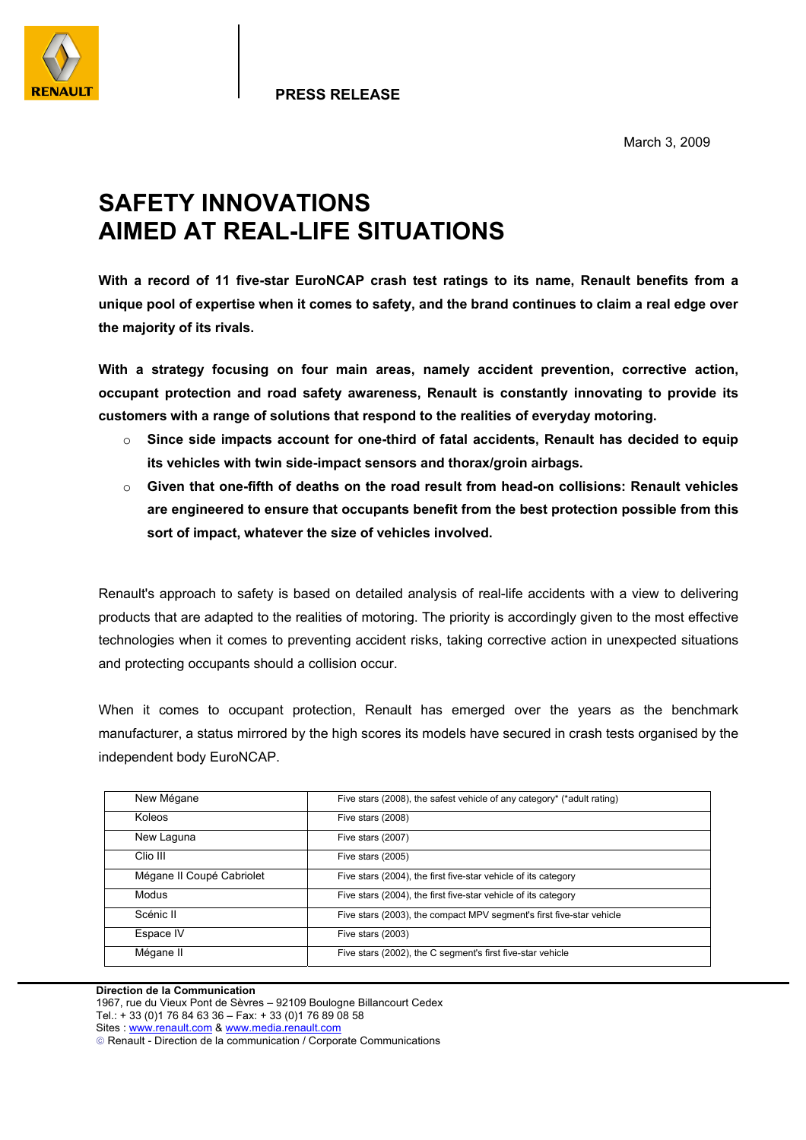

March 3, 2009

## **SAFETY INNOVATIONS AIMED AT REAL-LIFE SITUATIONS**

**With a record of 11 five-star EuroNCAP crash test ratings to its name, Renault benefits from a unique pool of expertise when it comes to safety, and the brand continues to claim a real edge over the majority of its rivals.** 

**With a strategy focusing on four main areas, namely accident prevention, corrective action, occupant protection and road safety awareness, Renault is constantly innovating to provide its customers with a range of solutions that respond to the realities of everyday motoring.** 

- o **Since side impacts account for one-third of fatal accidents, Renault has decided to equip its vehicles with twin side-impact sensors and thorax/groin airbags.**
- o **Given that one-fifth of deaths on the road result from head-on collisions: Renault vehicles are engineered to ensure that occupants benefit from the best protection possible from this sort of impact, whatever the size of vehicles involved.**

Renault's approach to safety is based on detailed analysis of real-life accidents with a view to delivering products that are adapted to the realities of motoring. The priority is accordingly given to the most effective technologies when it comes to preventing accident risks, taking corrective action in unexpected situations and protecting occupants should a collision occur.

When it comes to occupant protection, Renault has emerged over the years as the benchmark manufacturer, a status mirrored by the high scores its models have secured in crash tests organised by the independent body EuroNCAP.

| New Mégane                | Five stars (2008), the safest vehicle of any category* (*adult rating) |
|---------------------------|------------------------------------------------------------------------|
| Koleos                    | Five stars (2008)                                                      |
| New Laguna                | Five stars (2007)                                                      |
| Clio III                  | Five stars (2005)                                                      |
| Mégane II Coupé Cabriolet | Five stars (2004), the first five-star vehicle of its category         |
| Modus                     | Five stars (2004), the first five-star vehicle of its category         |
| Scénic II                 | Five stars (2003), the compact MPV segment's first five-star vehicle   |
| Espace IV                 | Five stars (2003)                                                      |
| Mégane II                 | Five stars (2002), the C segment's first five-star vehicle             |

## **Direction de la Communication**

1967, rue du Vieux Pont de Sèvres – 92109 Boulogne Billancourt Cedex Tel.: + 33 (0)1 76 84 63 36 – Fax: + 33 (0)1 76 89 08 58 Sites : www.renault.com & www.media.renault.com Renault - Direction de la communication / Corporate Communications